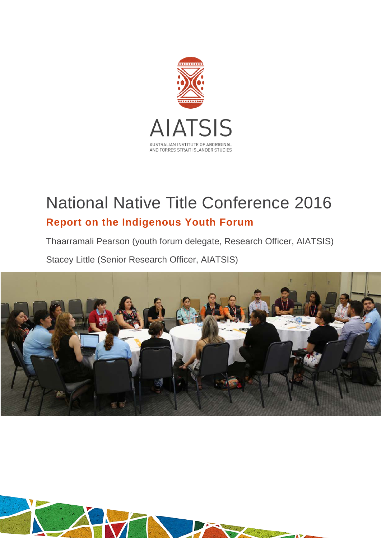

# National Native Title Conference 2016 **Report on the Indigenous Youth Forum**

Thaarramali Pearson (youth forum delegate, Research Officer, AIATSIS)

Stacey Little (Senior Research Officer, AIATSIS)



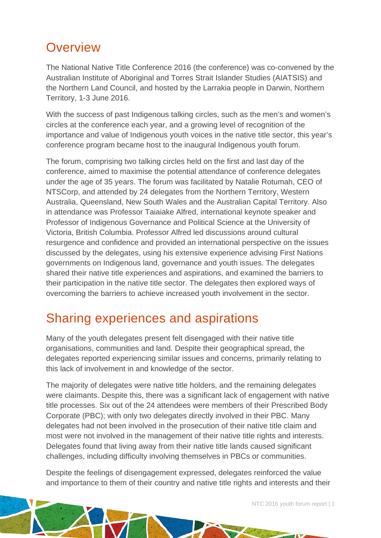# **Overview**

The National Native Title Conference 2016 (the conference) was co-convened by the Australian Institute of Aboriginal and Torres Strait Islander Studies (AIATSIS) and the Northern Land Council, and hosted by the Larrakia people in Darwin, Northern Territory, 1-3 June 2016.

With the success of past Indigenous talking circles, such as the men's and women's circles at the conference each year, and a growing level of recognition of the importance and value of Indigenous youth voices in the native title sector, this year's conference program became host to the inaugural Indigenous youth forum.

The forum, comprising two talking circles held on the first and last day of the conference, aimed to maximise the potential attendance of conference delegates under the age of 35 years. The forum was facilitated by Natalie Rotumah, CEO of NTSCorp, and attended by 24 delegates from the Northern Territory, Western Australia, Queensland, New South Wales and the Australian Capital Territory. Also in attendance was Professor Taiaiake Alfred, international keynote speaker and Professor of Indigenous Governance and Political Science at the University of Victoria, British Columbia. Professor Alfred led discussions around cultural resurgence and confidence and provided an international perspective on the issues discussed by the delegates, using his extensive experience advising First Nations governments on Indigenous land, governance and youth issues. The delegates shared their native title experiences and aspirations, and examined the barriers to their participation in the native title sector. The delegates then explored ways of overcoming the barriers to achieve increased youth involvement in the sector.

# Sharing experiences and aspirations

Many of the youth delegates present felt disengaged with their native title organisations, communities and land. Despite their geographical spread, the delegates reported experiencing similar issues and concerns, primarily relating to this lack of involvement in and knowledge of the sector.

The majority of delegates were native title holders, and the remaining delegates were claimants. Despite this, there was a significant lack of engagement with native title processes. Six out of the 24 attendees were members of their Prescribed Body Corporate (PBC); with only two delegates directly involved in their PBC. Many delegates had not been involved in the prosecution of their native title claim and most were not involved in the management of their native title rights and interests. Delegates found that living away from their native title lands caused significant challenges, including difficulty involving themselves in PBCs or communities.

Despite the feelings of disengagement expressed, delegates reinforced the value and importance to them of their country and native title rights and interests and their

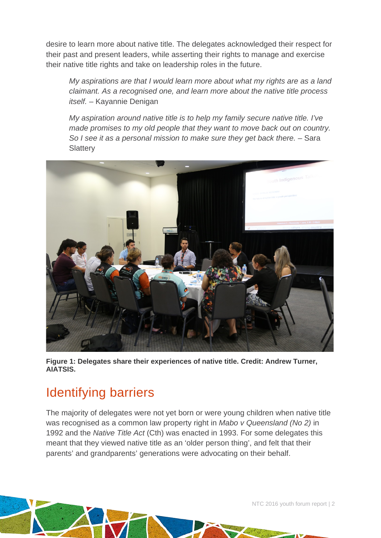desire to learn more about native title. The delegates acknowledged their respect for their past and present leaders, while asserting their rights to manage and exercise their native title rights and take on leadership roles in the future.

*My aspirations are that I would learn more about what my rights are as a land claimant. As a recognised one, and learn more about the native title process itself.* – Kayannie Denigan

*My aspiration around native title is to help my family secure native title. I've made promises to my old people that they want to move back out on country. So I see it as a personal mission to make sure they get back there. –* Sara **Slattery** 



**Figure 1: Delegates share their experiences of native title. Credit: Andrew Turner, AIATSIS.**

# Identifying barriers

The majority of delegates were not yet born or were young children when native title was recognised as a common law property right in *Mabo v Queensland (No 2)* in 1992 and the *Native Title Act* (Cth) was enacted in 1993. For some delegates this meant that they viewed native title as an 'older person thing', and felt that their parents' and grandparents' generations were advocating on their behalf.

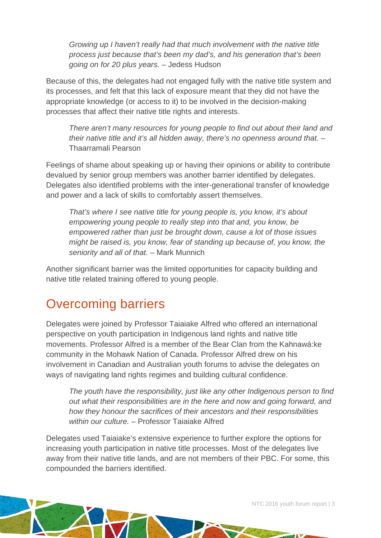*Growing up I haven't really had that much involvement with the native title process just because that's been my dad's, and his generation that's been going on for 20 plus years.* – Jedess Hudson

Because of this, the delegates had not engaged fully with the native title system and its processes, and felt that this lack of exposure meant that they did not have the appropriate knowledge (or access to it) to be involved in the decision-making processes that affect their native title rights and interests.

*There aren't many resources for young people to find out about their land and their native title and it's all hidden away, there's no openness around that.* – Thaarramali Pearson

Feelings of shame about speaking up or having their opinions or ability to contribute devalued by senior group members was another barrier identified by delegates. Delegates also identified problems with the inter-generational transfer of knowledge and power and a lack of skills to comfortably assert themselves.

*That's where I see native title for young people is, you know, it's about empowering young people to really step into that and, you know, be empowered rather than just be brought down, cause a lot of those issues might be raised is, you know, fear of standing up because of, you know, the seniority and all of that.* – Mark Munnich

Another significant barrier was the limited opportunities for capacity building and native title related training offered to young people.

# Overcoming barriers

Delegates were joined by Professor Taiaiake Alfred who offered an international perspective on youth participation in Indigenous land rights and native title movements. Professor Alfred is a member of the Bear Clan from the Kahnawá:ke community in the Mohawk Nation of Canada. Professor Alfred drew on his involvement in Canadian and Australian youth forums to advise the delegates on ways of navigating land rights regimes and building cultural confidence.

*The youth have the responsibility, just like any other Indigenous person to find out what their responsibilities are in the here and now and going forward, and how they honour the sacrifices of their ancestors and their responsibilities within our culture.* – Professor Taiaiake Alfred

Delegates used Taiaiake's extensive experience to further explore the options for increasing youth participation in native title processes. Most of the delegates live away from their native title lands, and are not members of their PBC. For some, this compounded the barriers identified.

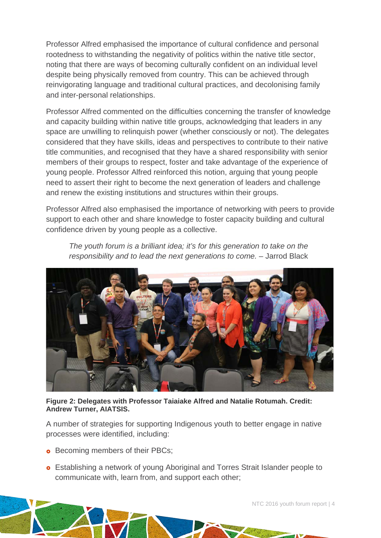Professor Alfred emphasised the importance of cultural confidence and personal rootedness to withstanding the negativity of politics within the native title sector, noting that there are ways of becoming culturally confident on an individual level despite being physically removed from country. This can be achieved through reinvigorating language and traditional cultural practices, and decolonising family and inter-personal relationships.

Professor Alfred commented on the difficulties concerning the transfer of knowledge and capacity building within native title groups, acknowledging that leaders in any space are unwilling to relinquish power (whether consciously or not). The delegates considered that they have skills, ideas and perspectives to contribute to their native title communities, and recognised that they have a shared responsibility with senior members of their groups to respect, foster and take advantage of the experience of young people. Professor Alfred reinforced this notion, arguing that young people need to assert their right to become the next generation of leaders and challenge and renew the existing institutions and structures within their groups.

Professor Alfred also emphasised the importance of networking with peers to provide support to each other and share knowledge to foster capacity building and cultural confidence driven by young people as a collective.

*The youth forum is a brilliant idea; it's for this generation to take on the responsibility and to lead the next generations to come.* – Jarrod Black



#### **Figure 2: Delegates with Professor Taiaiake Alfred and Natalie Rotumah. Credit: Andrew Turner, AIATSIS.**

A number of strategies for supporting Indigenous youth to better engage in native processes were identified, including:

- **•** Becoming members of their PBCs;
- Establishing a network of young Aboriginal and Torres Strait Islander people to communicate with, learn from, and support each other;

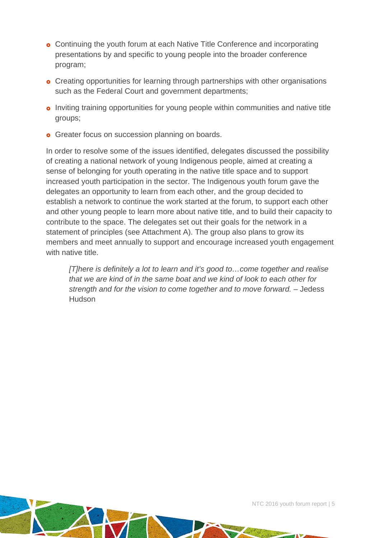- **o** Continuing the youth forum at each Native Title Conference and incorporating presentations by and specific to young people into the broader conference program;
- **o** Creating opportunities for learning through partnerships with other organisations such as the Federal Court and government departments;
- **o** Inviting training opportunities for young people within communities and native title groups;
- **o** Greater focus on succession planning on boards.

In order to resolve some of the issues identified, delegates discussed the possibility of creating a national network of young Indigenous people, aimed at creating a sense of belonging for youth operating in the native title space and to support increased youth participation in the sector. The Indigenous youth forum gave the delegates an opportunity to learn from each other, and the group decided to establish a network to continue the work started at the forum, to support each other and other young people to learn more about native title, and to build their capacity to contribute to the space. The delegates set out their goals for the network in a statement of principles (see Attachment A). The group also plans to grow its members and meet annually to support and encourage increased youth engagement with native title

*[T]here is definitely a lot to learn and it's good to…come together and realise that we are kind of in the same boat and we kind of look to each other for strength and for the vision to come together and to move forward. –* Jedess Hudson